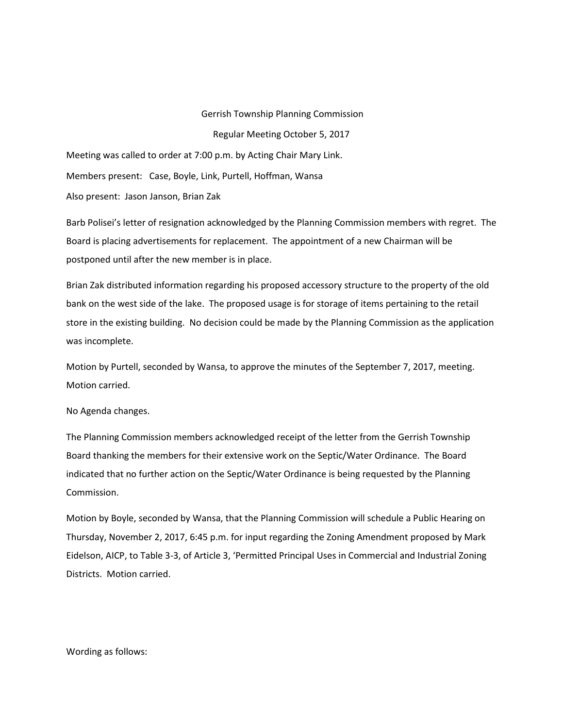## Gerrish Township Planning Commission

Regular Meeting October 5, 2017

Meeting was called to order at 7:00 p.m. by Acting Chair Mary Link.

Members present: Case, Boyle, Link, Purtell, Hoffman, Wansa

Also present: Jason Janson, Brian Zak

Barb Polisei's letter of resignation acknowledged by the Planning Commission members with regret. The Board is placing advertisements for replacement. The appointment of a new Chairman will be postponed until after the new member is in place.

Brian Zak distributed information regarding his proposed accessory structure to the property of the old bank on the west side of the lake. The proposed usage is for storage of items pertaining to the retail store in the existing building. No decision could be made by the Planning Commission as the application was incomplete.

Motion by Purtell, seconded by Wansa, to approve the minutes of the September 7, 2017, meeting. Motion carried.

No Agenda changes.

The Planning Commission members acknowledged receipt of the letter from the Gerrish Township Board thanking the members for their extensive work on the Septic/Water Ordinance. The Board indicated that no further action on the Septic/Water Ordinance is being requested by the Planning Commission.

Motion by Boyle, seconded by Wansa, that the Planning Commission will schedule a Public Hearing on Thursday, November 2, 2017, 6:45 p.m. for input regarding the Zoning Amendment proposed by Mark Eidelson, AICP, to Table 3-3, of Article 3, 'Permitted Principal Uses in Commercial and Industrial Zoning Districts. Motion carried.

## Wording as follows: